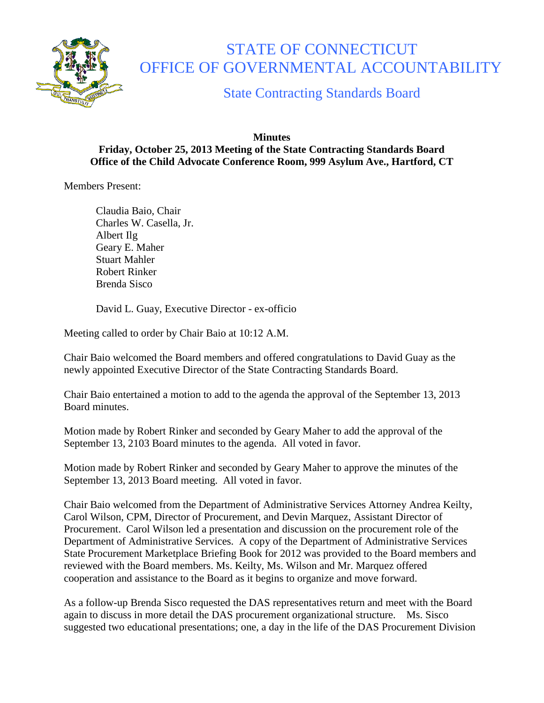

## STATE OF CONNECTICUT OFFICE OF GOVERNMENTAL ACCOUNTABILITY

State Contracting Standards Board

## **Minutes Friday, October 25, 2013 Meeting of the State Contracting Standards Board Office of the Child Advocate Conference Room, 999 Asylum Ave., Hartford, CT**

Members Present:

Claudia Baio, Chair Charles W. Casella, Jr. Albert Ilg Geary E. Maher Stuart Mahler Robert Rinker Brenda Sisco

David L. Guay, Executive Director - ex-officio

Meeting called to order by Chair Baio at 10:12 A.M.

Chair Baio welcomed the Board members and offered congratulations to David Guay as the newly appointed Executive Director of the State Contracting Standards Board.

Chair Baio entertained a motion to add to the agenda the approval of the September 13, 2013 Board minutes.

Motion made by Robert Rinker and seconded by Geary Maher to add the approval of the September 13, 2103 Board minutes to the agenda. All voted in favor.

Motion made by Robert Rinker and seconded by Geary Maher to approve the minutes of the September 13, 2013 Board meeting. All voted in favor.

Chair Baio welcomed from the Department of Administrative Services Attorney Andrea Keilty, Carol Wilson, CPM, Director of Procurement, and Devin Marquez, Assistant Director of Procurement. Carol Wilson led a presentation and discussion on the procurement role of the Department of Administrative Services. A copy of the Department of Administrative Services State Procurement Marketplace Briefing Book for 2012 was provided to the Board members and reviewed with the Board members. Ms. Keilty, Ms. Wilson and Mr. Marquez offered cooperation and assistance to the Board as it begins to organize and move forward.

As a follow-up Brenda Sisco requested the DAS representatives return and meet with the Board again to discuss in more detail the DAS procurement organizational structure. Ms. Sisco suggested two educational presentations; one, a day in the life of the DAS Procurement Division